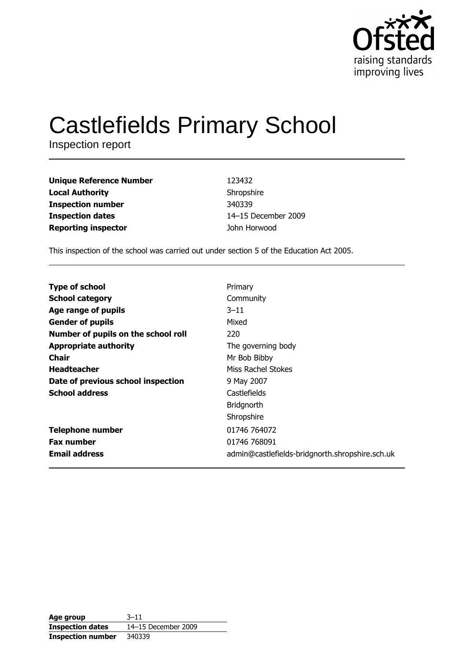

# **Castlefields Primary School**

Inspection report

| 123432              |
|---------------------|
| Shropshire          |
| 340339              |
| 14-15 December 2009 |
| John Horwood        |
|                     |

This inspection of the school was carried out under section 5 of the Education Act 2005.

| <b>Type of school</b>               | Primary                                         |
|-------------------------------------|-------------------------------------------------|
| <b>School category</b>              | Community                                       |
| Age range of pupils                 | $3 - 11$                                        |
| <b>Gender of pupils</b>             | Mixed                                           |
| Number of pupils on the school roll | 220                                             |
| <b>Appropriate authority</b>        | The governing body                              |
| <b>Chair</b>                        | Mr Bob Bibby                                    |
| <b>Headteacher</b>                  | Miss Rachel Stokes                              |
| Date of previous school inspection  | 9 May 2007                                      |
| <b>School address</b>               | Castlefields                                    |
|                                     | <b>Bridgnorth</b>                               |
|                                     | Shropshire                                      |
| <b>Telephone number</b>             | 01746 764072                                    |
| <b>Fax number</b>                   | 01746 768091                                    |
| <b>Email address</b>                | admin@castlefields-bridgnorth.shropshire.sch.uk |

| Age group                | $3 - 11$            |
|--------------------------|---------------------|
| <b>Inspection dates</b>  | 14-15 December 2009 |
| <b>Inspection number</b> | 340339              |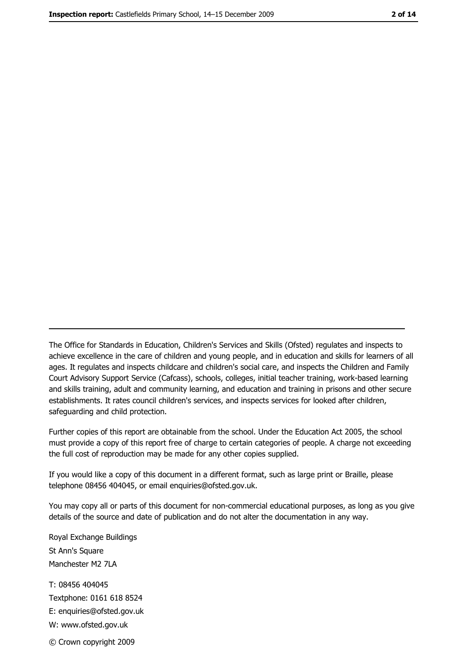The Office for Standards in Education, Children's Services and Skills (Ofsted) regulates and inspects to achieve excellence in the care of children and young people, and in education and skills for learners of all ages. It regulates and inspects childcare and children's social care, and inspects the Children and Family Court Advisory Support Service (Cafcass), schools, colleges, initial teacher training, work-based learning and skills training, adult and community learning, and education and training in prisons and other secure establishments. It rates council children's services, and inspects services for looked after children, safequarding and child protection.

Further copies of this report are obtainable from the school. Under the Education Act 2005, the school must provide a copy of this report free of charge to certain categories of people. A charge not exceeding the full cost of reproduction may be made for any other copies supplied.

If you would like a copy of this document in a different format, such as large print or Braille, please telephone 08456 404045, or email enquiries@ofsted.gov.uk.

You may copy all or parts of this document for non-commercial educational purposes, as long as you give details of the source and date of publication and do not alter the documentation in any way.

Royal Exchange Buildings St Ann's Square Manchester M2 7LA T: 08456 404045 Textphone: 0161 618 8524 E: enquiries@ofsted.gov.uk W: www.ofsted.gov.uk © Crown copyright 2009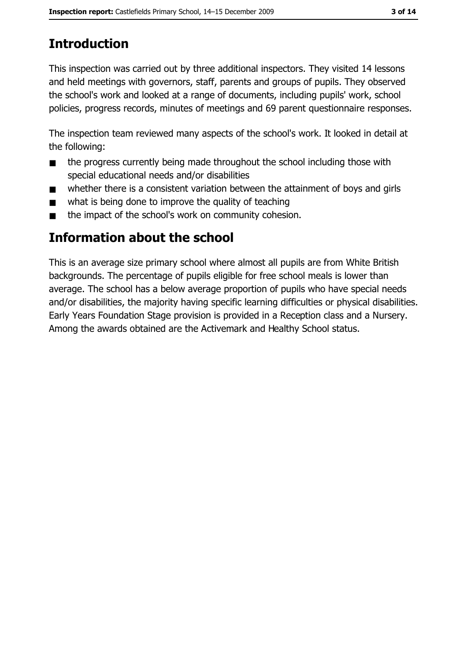# **Introduction**

This inspection was carried out by three additional inspectors. They visited 14 lessons and held meetings with governors, staff, parents and groups of pupils. They observed the school's work and looked at a range of documents, including pupils' work, school policies, progress records, minutes of meetings and 69 parent questionnaire responses.

The inspection team reviewed many aspects of the school's work. It looked in detail at the following:

- the progress currently being made throughout the school including those with  $\blacksquare$ special educational needs and/or disabilities
- whether there is a consistent variation between the attainment of boys and girls  $\blacksquare$
- what is being done to improve the quality of teaching
- the impact of the school's work on community cohesion.  $\blacksquare$

# **Information about the school**

This is an average size primary school where almost all pupils are from White British backgrounds. The percentage of pupils eligible for free school meals is lower than average. The school has a below average proportion of pupils who have special needs and/or disabilities, the majority having specific learning difficulties or physical disabilities. Early Years Foundation Stage provision is provided in a Reception class and a Nursery. Among the awards obtained are the Activemark and Healthy School status.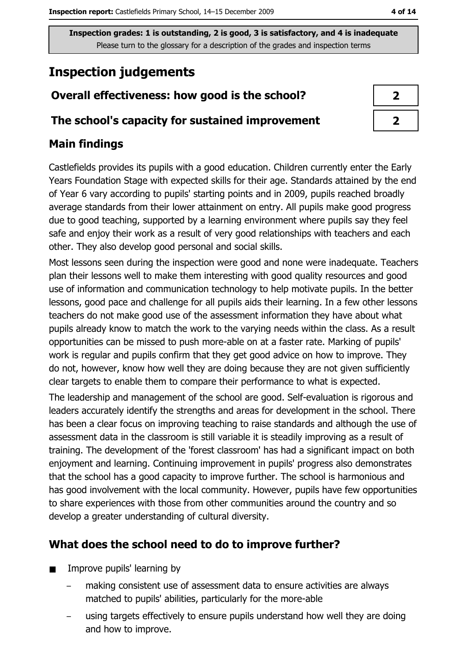# **Inspection judgements**

# Overall effectiveness: how good is the school?

#### The school's capacity for sustained improvement

## **Main findings**

Castlefields provides its pupils with a good education. Children currently enter the Early Years Foundation Stage with expected skills for their age. Standards attained by the end of Year 6 vary according to pupils' starting points and in 2009, pupils reached broadly average standards from their lower attainment on entry. All pupils make good progress due to good teaching, supported by a learning environment where pupils say they feel safe and enjoy their work as a result of very good relationships with teachers and each other. They also develop good personal and social skills.

Most lessons seen during the inspection were good and none were inadequate. Teachers plan their lessons well to make them interesting with good quality resources and good use of information and communication technology to help motivate pupils. In the better lessons, good pace and challenge for all pupils aids their learning. In a few other lessons teachers do not make good use of the assessment information they have about what pupils already know to match the work to the varying needs within the class. As a result opportunities can be missed to push more-able on at a faster rate. Marking of pupils' work is regular and pupils confirm that they get good advice on how to improve. They do not, however, know how well they are doing because they are not given sufficiently clear targets to enable them to compare their performance to what is expected.

The leadership and management of the school are good. Self-evaluation is rigorous and leaders accurately identify the strengths and areas for development in the school. There has been a clear focus on improving teaching to raise standards and although the use of assessment data in the classroom is still variable it is steadily improving as a result of training. The development of the 'forest classroom' has had a significant impact on both enjoyment and learning. Continuing improvement in pupils' progress also demonstrates that the school has a good capacity to improve further. The school is harmonious and has good involvement with the local community. However, pupils have few opportunities to share experiences with those from other communities around the country and so develop a greater understanding of cultural diversity.

## What does the school need to do to improve further?

- Improve pupils' learning by  $\blacksquare$ 
	- making consistent use of assessment data to ensure activities are always matched to pupils' abilities, particularly for the more-able
	- using targets effectively to ensure pupils understand how well they are doing and how to improve.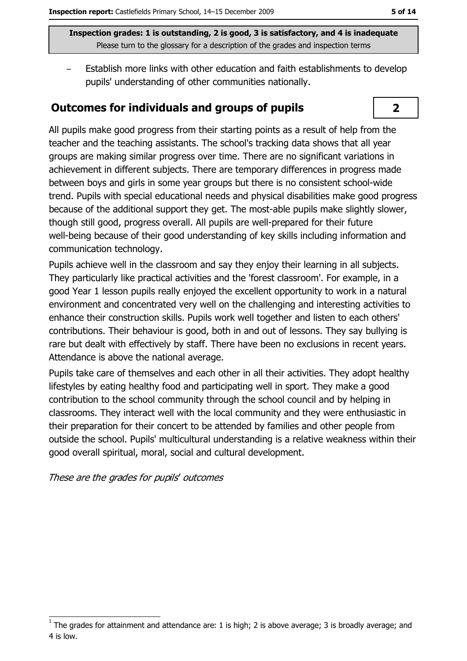Establish more links with other education and faith establishments to develop pupils' understanding of other communities nationally.

#### **Outcomes for individuals and groups of pupils**



All pupils make good progress from their starting points as a result of help from the teacher and the teaching assistants. The school's tracking data shows that all year groups are making similar progress over time. There are no significant variations in achievement in different subjects. There are temporary differences in progress made between boys and girls in some year groups but there is no consistent school-wide trend. Pupils with special educational needs and physical disabilities make good progress because of the additional support they get. The most-able pupils make slightly slower, though still good, progress overall. All pupils are well-prepared for their future well-being because of their good understanding of key skills including information and communication technology.

Pupils achieve well in the classroom and say they enjoy their learning in all subjects. They particularly like practical activities and the 'forest classroom'. For example, in a good Year 1 lesson pupils really enjoyed the excellent opportunity to work in a natural environment and concentrated very well on the challenging and interesting activities to enhance their construction skills. Pupils work well together and listen to each others' contributions. Their behaviour is good, both in and out of lessons. They say bullying is rare but dealt with effectively by staff. There have been no exclusions in recent years. Attendance is above the national average.

Pupils take care of themselves and each other in all their activities. They adopt healthy lifestyles by eating healthy food and participating well in sport. They make a good contribution to the school community through the school council and by helping in classrooms. They interact well with the local community and they were enthusiastic in their preparation for their concert to be attended by families and other people from outside the school. Pupils' multicultural understanding is a relative weakness within their good overall spiritual, moral, social and cultural development.

These are the grades for pupils' outcomes

The grades for attainment and attendance are: 1 is high; 2 is above average; 3 is broadly average; and 4 is low.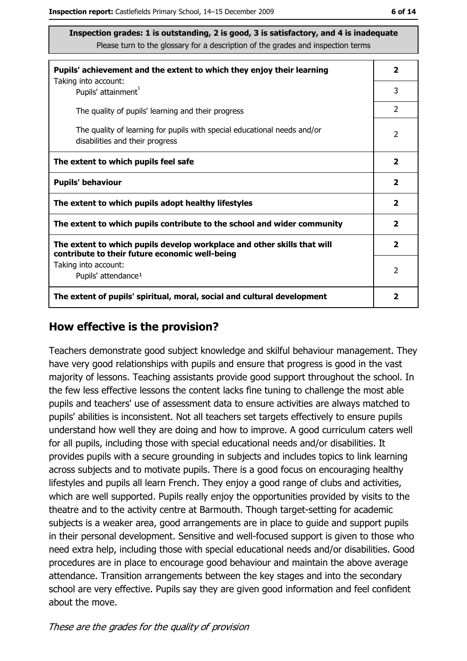| Pupils' achievement and the extent to which they enjoy their learning                                                     | $\mathbf{2}$            |
|---------------------------------------------------------------------------------------------------------------------------|-------------------------|
| Taking into account:<br>Pupils' attainment <sup>1</sup>                                                                   | 3                       |
| The quality of pupils' learning and their progress                                                                        | $\mathcal{P}$           |
| The quality of learning for pupils with special educational needs and/or<br>disabilities and their progress               | $\overline{2}$          |
| The extent to which pupils feel safe                                                                                      | $\overline{\mathbf{2}}$ |
| <b>Pupils' behaviour</b>                                                                                                  | $\mathbf{2}$            |
| The extent to which pupils adopt healthy lifestyles                                                                       | $\overline{2}$          |
| The extent to which pupils contribute to the school and wider community                                                   | $\mathbf{2}$            |
| The extent to which pupils develop workplace and other skills that will<br>contribute to their future economic well-being | $\overline{\mathbf{2}}$ |
| Taking into account:                                                                                                      | 2                       |
| Pupils' attendance <sup>1</sup>                                                                                           |                         |
| The extent of pupils' spiritual, moral, social and cultural development                                                   | 2                       |

#### How effective is the provision?

Teachers demonstrate good subject knowledge and skilful behaviour management. They have very good relationships with pupils and ensure that progress is good in the vast majority of lessons. Teaching assistants provide good support throughout the school. In the few less effective lessons the content lacks fine tuning to challenge the most able pupils and teachers' use of assessment data to ensure activities are always matched to pupils' abilities is inconsistent. Not all teachers set targets effectively to ensure pupils understand how well they are doing and how to improve. A good curriculum caters well for all pupils, including those with special educational needs and/or disabilities. It provides pupils with a secure grounding in subjects and includes topics to link learning across subjects and to motivate pupils. There is a good focus on encouraging healthy lifestyles and pupils all learn French. They enjoy a good range of clubs and activities, which are well supported. Pupils really enjoy the opportunities provided by visits to the theatre and to the activity centre at Barmouth. Though target-setting for academic subjects is a weaker area, good arrangements are in place to guide and support pupils in their personal development. Sensitive and well-focused support is given to those who need extra help, including those with special educational needs and/or disabilities. Good procedures are in place to encourage good behaviour and maintain the above average attendance. Transition arrangements between the key stages and into the secondary school are very effective. Pupils say they are given good information and feel confident about the move.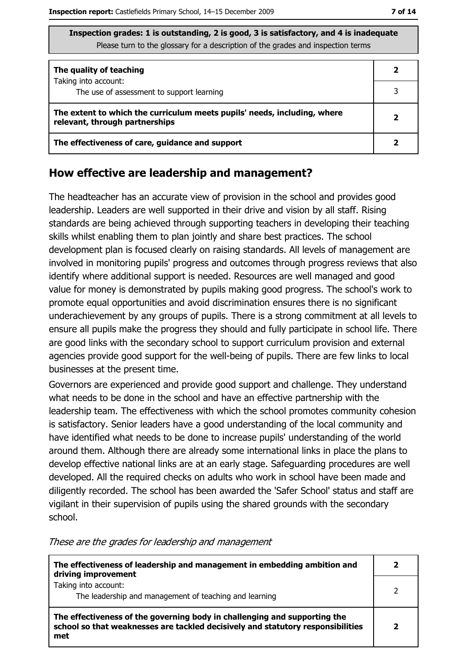| The quality of teaching                                                                                    |  |
|------------------------------------------------------------------------------------------------------------|--|
| Taking into account:<br>The use of assessment to support learning                                          |  |
| The extent to which the curriculum meets pupils' needs, including, where<br>relevant, through partnerships |  |
| The effectiveness of care, guidance and support                                                            |  |

#### How effective are leadership and management?

The headteacher has an accurate view of provision in the school and provides good leadership. Leaders are well supported in their drive and vision by all staff. Rising standards are being achieved through supporting teachers in developing their teaching skills whilst enabling them to plan jointly and share best practices. The school development plan is focused clearly on raising standards. All levels of management are involved in monitoring pupils' progress and outcomes through progress reviews that also identify where additional support is needed. Resources are well managed and good value for money is demonstrated by pupils making good progress. The school's work to promote equal opportunities and avoid discrimination ensures there is no significant underachievement by any groups of pupils. There is a strong commitment at all levels to ensure all pupils make the progress they should and fully participate in school life. There are good links with the secondary school to support curriculum provision and external agencies provide good support for the well-being of pupils. There are few links to local businesses at the present time.

Governors are experienced and provide good support and challenge. They understand what needs to be done in the school and have an effective partnership with the leadership team. The effectiveness with which the school promotes community cohesion is satisfactory. Senior leaders have a good understanding of the local community and have identified what needs to be done to increase pupils' understanding of the world around them. Although there are already some international links in place the plans to develop effective national links are at an early stage. Safeguarding procedures are well developed. All the required checks on adults who work in school have been made and diligently recorded. The school has been awarded the 'Safer School' status and staff are vigilant in their supervision of pupils using the shared grounds with the secondary school.

| The effectiveness of leadership and management in embedding ambition and<br>driving improvement                                                                     |  |
|---------------------------------------------------------------------------------------------------------------------------------------------------------------------|--|
| Taking into account:<br>The leadership and management of teaching and learning                                                                                      |  |
| The effectiveness of the governing body in challenging and supporting the<br>school so that weaknesses are tackled decisively and statutory responsibilities<br>met |  |

These are the grades for leadership and management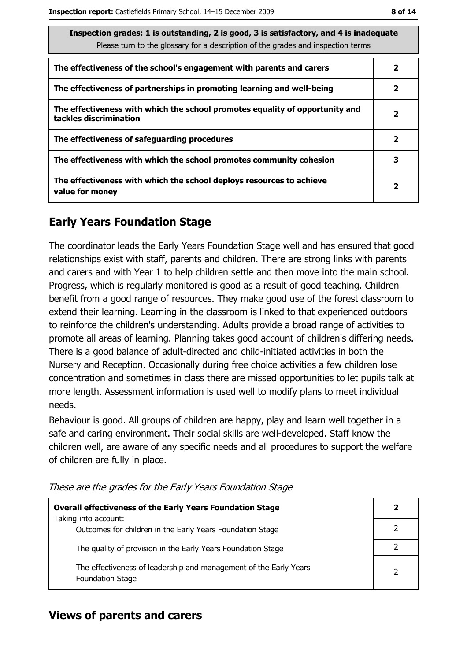| Inspection grades: 1 is outstanding, 2 is good, 3 is satisfactory, and 4 is inadequate<br>Please turn to the glossary for a description of the grades and inspection terms |                         |  |
|----------------------------------------------------------------------------------------------------------------------------------------------------------------------------|-------------------------|--|
| The effectiveness of the school's engagement with parents and carers                                                                                                       | $\mathbf{2}$            |  |
| The effectiveness of partnerships in promoting learning and well-being                                                                                                     | 2                       |  |
| The effectiveness with which the school promotes equality of opportunity and<br>tackles discrimination                                                                     | $\overline{\mathbf{2}}$ |  |
| The effectiveness of safeguarding procedures                                                                                                                               |                         |  |
| The effectiveness with which the school promotes community cohesion                                                                                                        | 3                       |  |
| The effectiveness with which the school deploys resources to achieve<br>2<br>value for money                                                                               |                         |  |

# **Early Years Foundation Stage**

The coordinator leads the Early Years Foundation Stage well and has ensured that good relationships exist with staff, parents and children. There are strong links with parents and carers and with Year 1 to help children settle and then move into the main school. Progress, which is regularly monitored is good as a result of good teaching. Children benefit from a good range of resources. They make good use of the forest classroom to extend their learning. Learning in the classroom is linked to that experienced outdoors to reinforce the children's understanding. Adults provide a broad range of activities to promote all areas of learning. Planning takes good account of children's differing needs. There is a good balance of adult-directed and child-initiated activities in both the Nursery and Reception. Occasionally during free choice activities a few children lose concentration and sometimes in class there are missed opportunities to let pupils talk at more length. Assessment information is used well to modify plans to meet individual needs.

Behaviour is good. All groups of children are happy, play and learn well together in a safe and caring environment. Their social skills are well-developed. Staff know the children well, are aware of any specific needs and all procedures to support the welfare of children are fully in place.

| <b>Overall effectiveness of the Early Years Foundation Stage</b>                             |  |
|----------------------------------------------------------------------------------------------|--|
| Taking into account:<br>Outcomes for children in the Early Years Foundation Stage            |  |
| The quality of provision in the Early Years Foundation Stage                                 |  |
| The effectiveness of leadership and management of the Early Years<br><b>Foundation Stage</b> |  |

These are the grades for the Early Years Foundation Stage

# **Views of parents and carers**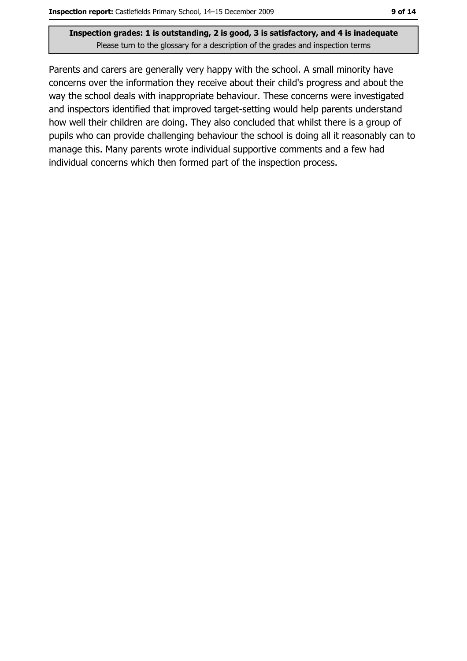Parents and carers are generally very happy with the school. A small minority have concerns over the information they receive about their child's progress and about the way the school deals with inappropriate behaviour. These concerns were investigated and inspectors identified that improved target-setting would help parents understand how well their children are doing. They also concluded that whilst there is a group of pupils who can provide challenging behaviour the school is doing all it reasonably can to manage this. Many parents wrote individual supportive comments and a few had individual concerns which then formed part of the inspection process.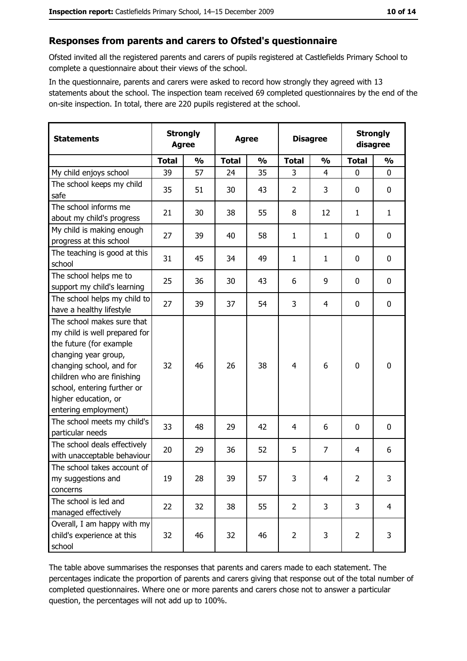## Responses from parents and carers to Ofsted's questionnaire

Ofsted invited all the registered parents and carers of pupils registered at Castlefields Primary School to complete a questionnaire about their views of the school.

In the questionnaire, parents and carers were asked to record how strongly they agreed with 13 statements about the school. The inspection team received 69 completed questionnaires by the end of the on-site inspection. In total, there are 220 pupils registered at the school.

| <b>Statements</b>                                                                                                                                                                                                                                       | <b>Strongly</b><br><b>Agree</b> |               |              |               |                | <b>Agree</b>   |                | <b>Disagree</b> |  | <b>Strongly</b><br>disagree |  |
|---------------------------------------------------------------------------------------------------------------------------------------------------------------------------------------------------------------------------------------------------------|---------------------------------|---------------|--------------|---------------|----------------|----------------|----------------|-----------------|--|-----------------------------|--|
|                                                                                                                                                                                                                                                         | <b>Total</b>                    | $\frac{0}{0}$ | <b>Total</b> | $\frac{0}{0}$ | <b>Total</b>   | $\frac{1}{2}$  | <b>Total</b>   | $\frac{1}{2}$   |  |                             |  |
| My child enjoys school                                                                                                                                                                                                                                  | 39                              | 57            | 24           | 35            | 3              | 4              | $\Omega$       | 0               |  |                             |  |
| The school keeps my child<br>safe                                                                                                                                                                                                                       | 35                              | 51            | 30           | 43            | $\overline{2}$ | 3              | $\mathbf{0}$   | 0               |  |                             |  |
| The school informs me<br>about my child's progress                                                                                                                                                                                                      | 21                              | 30            | 38           | 55            | 8              | 12             | $\mathbf{1}$   | $\mathbf{1}$    |  |                             |  |
| My child is making enough<br>progress at this school                                                                                                                                                                                                    | 27                              | 39            | 40           | 58            | $\mathbf{1}$   | 1              | $\mathbf 0$    | 0               |  |                             |  |
| The teaching is good at this<br>school                                                                                                                                                                                                                  | 31                              | 45            | 34           | 49            | $\mathbf{1}$   | 1              | 0              | 0               |  |                             |  |
| The school helps me to<br>support my child's learning                                                                                                                                                                                                   | 25                              | 36            | 30           | 43            | 6              | 9              | $\mathbf 0$    | 0               |  |                             |  |
| The school helps my child to<br>have a healthy lifestyle                                                                                                                                                                                                | 27                              | 39            | 37           | 54            | 3              | 4              | 0              | 0               |  |                             |  |
| The school makes sure that<br>my child is well prepared for<br>the future (for example<br>changing year group,<br>changing school, and for<br>children who are finishing<br>school, entering further or<br>higher education, or<br>entering employment) | 32                              | 46            | 26           | 38            | $\overline{4}$ | 6              | $\mathbf 0$    | 0               |  |                             |  |
| The school meets my child's<br>particular needs                                                                                                                                                                                                         | 33                              | 48            | 29           | 42            | 4              | 6              | 0              | 0               |  |                             |  |
| The school deals effectively<br>with unacceptable behaviour                                                                                                                                                                                             | 20                              | 29            | 36           | 52            | 5              | $\overline{7}$ | 4              | 6               |  |                             |  |
| The school takes account of<br>my suggestions and<br>concerns                                                                                                                                                                                           | 19                              | 28            | 39           | 57            | 3              | 4              | $\overline{2}$ | 3               |  |                             |  |
| The school is led and<br>managed effectively                                                                                                                                                                                                            | 22                              | 32            | 38           | 55            | $\overline{2}$ | 3              | 3              | $\overline{4}$  |  |                             |  |
| Overall, I am happy with my<br>child's experience at this<br>school                                                                                                                                                                                     | 32                              | 46            | 32           | 46            | $\overline{2}$ | 3              | $\overline{2}$ | 3               |  |                             |  |

The table above summarises the responses that parents and carers made to each statement. The percentages indicate the proportion of parents and carers giving that response out of the total number of completed questionnaires. Where one or more parents and carers chose not to answer a particular question, the percentages will not add up to 100%.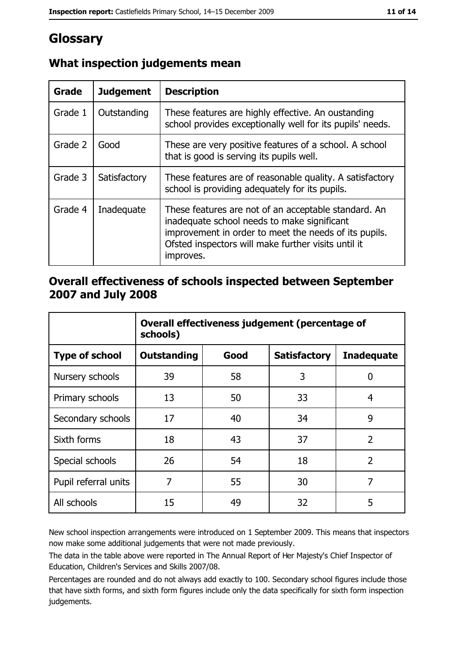# Glossary

| <b>Grade</b> | <b>Judgement</b> | <b>Description</b>                                                                                                                                                                                                               |  |
|--------------|------------------|----------------------------------------------------------------------------------------------------------------------------------------------------------------------------------------------------------------------------------|--|
| Grade 1      | Outstanding      | These features are highly effective. An oustanding<br>school provides exceptionally well for its pupils' needs.                                                                                                                  |  |
| Grade 2      | Good             | These are very positive features of a school. A school<br>that is good is serving its pupils well.                                                                                                                               |  |
| Grade 3      | Satisfactory     | These features are of reasonable quality. A satisfactory<br>school is providing adequately for its pupils.                                                                                                                       |  |
| Grade 4      | Inadequate       | These features are not of an acceptable standard. An<br>inadequate school needs to make significant<br>improvement in order to meet the needs of its pupils.<br>Ofsted inspectors will make further visits until it<br>improves. |  |

# What inspection judgements mean

## Overall effectiveness of schools inspected between September 2007 and July 2008

|                       | Overall effectiveness judgement (percentage of<br>schools) |      |                     |                   |
|-----------------------|------------------------------------------------------------|------|---------------------|-------------------|
| <b>Type of school</b> | <b>Outstanding</b>                                         | Good | <b>Satisfactory</b> | <b>Inadequate</b> |
| Nursery schools       | 39                                                         | 58   | 3                   | 0                 |
| Primary schools       | 13                                                         | 50   | 33                  | 4                 |
| Secondary schools     | 17                                                         | 40   | 34                  | 9                 |
| Sixth forms           | 18                                                         | 43   | 37                  | $\overline{2}$    |
| Special schools       | 26                                                         | 54   | 18                  | $\overline{2}$    |
| Pupil referral units  | 7                                                          | 55   | 30                  | 7                 |
| All schools           | 15                                                         | 49   | 32                  | 5                 |

New school inspection arrangements were introduced on 1 September 2009. This means that inspectors now make some additional judgements that were not made previously.

The data in the table above were reported in The Annual Report of Her Majesty's Chief Inspector of Education, Children's Services and Skills 2007/08.

Percentages are rounded and do not always add exactly to 100. Secondary school figures include those that have sixth forms, and sixth form figures include only the data specifically for sixth form inspection judgements.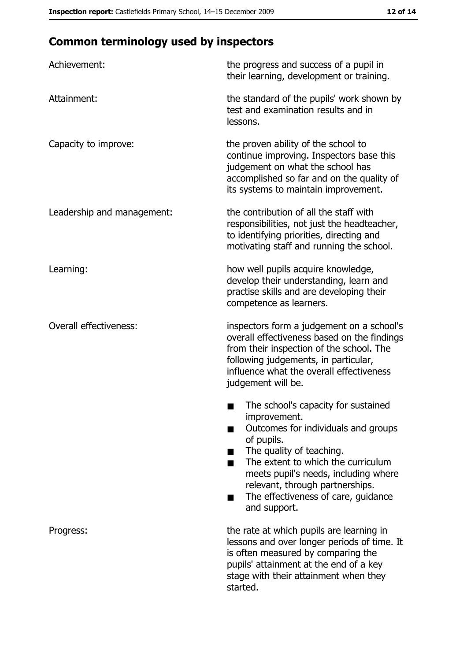# **Common terminology used by inspectors**

| Achievement:                  | the progress and success of a pupil in<br>their learning, development or training.                                                                                                                                                                                                                           |
|-------------------------------|--------------------------------------------------------------------------------------------------------------------------------------------------------------------------------------------------------------------------------------------------------------------------------------------------------------|
| Attainment:                   | the standard of the pupils' work shown by<br>test and examination results and in<br>lessons.                                                                                                                                                                                                                 |
| Capacity to improve:          | the proven ability of the school to<br>continue improving. Inspectors base this<br>judgement on what the school has<br>accomplished so far and on the quality of<br>its systems to maintain improvement.                                                                                                     |
| Leadership and management:    | the contribution of all the staff with<br>responsibilities, not just the headteacher,<br>to identifying priorities, directing and<br>motivating staff and running the school.                                                                                                                                |
| Learning:                     | how well pupils acquire knowledge,<br>develop their understanding, learn and<br>practise skills and are developing their<br>competence as learners.                                                                                                                                                          |
| <b>Overall effectiveness:</b> | inspectors form a judgement on a school's<br>overall effectiveness based on the findings<br>from their inspection of the school. The<br>following judgements, in particular,<br>influence what the overall effectiveness<br>judgement will be.                                                               |
|                               | The school's capacity for sustained<br>improvement.<br>Outcomes for individuals and groups<br>of pupils.<br>The quality of teaching.<br>The extent to which the curriculum<br>meets pupil's needs, including where<br>relevant, through partnerships.<br>The effectiveness of care, guidance<br>and support. |
| Progress:                     | the rate at which pupils are learning in<br>lessons and over longer periods of time. It<br>is often measured by comparing the<br>pupils' attainment at the end of a key<br>stage with their attainment when they<br>started.                                                                                 |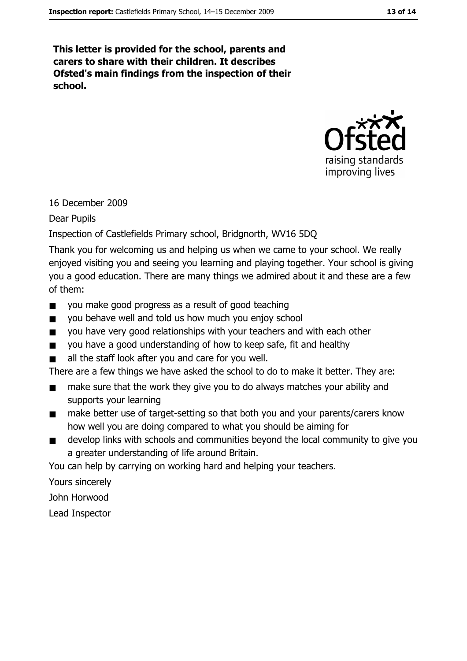This letter is provided for the school, parents and carers to share with their children. It describes Ofsted's main findings from the inspection of their school.



## 16 December 2009

**Dear Pupils** 

## Inspection of Castlefields Primary school, Bridgnorth, WV16 5DQ

Thank you for welcoming us and helping us when we came to your school. We really enjoyed visiting you and seeing you learning and playing together. Your school is giving you a good education. There are many things we admired about it and these are a few of them:

- you make good progress as a result of good teaching  $\blacksquare$
- you behave well and told us how much you enjoy school  $\blacksquare$
- you have very good relationships with your teachers and with each other  $\blacksquare$
- you have a good understanding of how to keep safe, fit and healthy  $\blacksquare$
- all the staff look after you and care for you well.  $\blacksquare$

There are a few things we have asked the school to do to make it better. They are:

- make sure that the work they give you to do always matches your ability and  $\blacksquare$ supports your learning
- make better use of target-setting so that both you and your parents/carers know  $\blacksquare$ how well you are doing compared to what you should be aiming for
- develop links with schools and communities beyond the local community to give you  $\blacksquare$ a greater understanding of life around Britain.

You can help by carrying on working hard and helping your teachers.

Yours sincerely

John Horwood

Lead Inspector